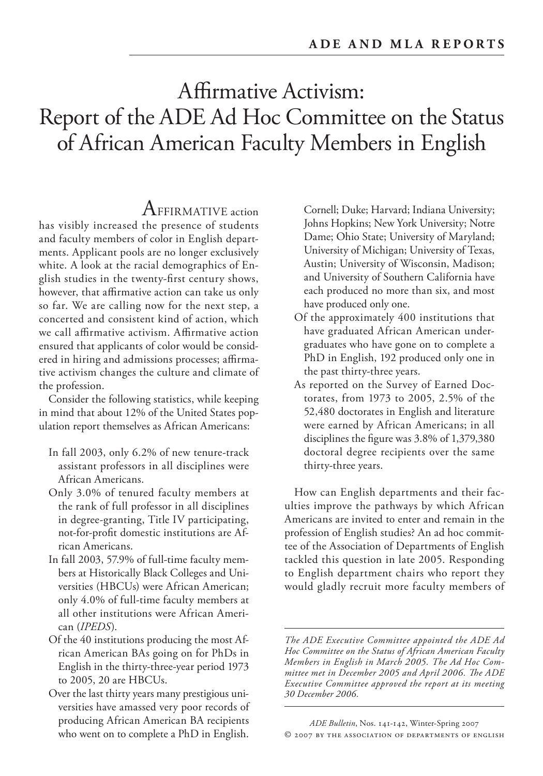# Affirmative Activism: Report of the ADE Ad Hoc Committee on the Status of African American Faculty Members in English

# ${\rm A}$ FFIRMATIVE action

has visibly increased the presence of students and faculty members of color in English departments. Applicant pools are no longer exclusively white. A look at the racial demographics of English studies in the twenty-first century shows, however, that affirmative action can take us only so far. We are calling now for the next step, a concerted and consistent kind of action, which we call affirmative activism. Affirmative action ensured that applicants of color would be considered in hiring and admissions processes; affirmative activism changes the culture and climate of the profession.

Consider the following statistics, while keeping in mind that about 12% of the United States population report themselves as African Americans:

- In fall 2003, only 6.2% of new tenure-track assistant professors in all disciplines were African Americans.
- Only 3.0% of tenured faculty members at the rank of full professor in all disciplines in degree-granting, Title IV participating, not-for-profit domestic institutions are African Americans.
- In fall 2003, 57.9% of full-time faculty members at Historically Black Colleges and Universities (HBCUs) were African American; only 4.0% of full-time faculty members at all other institutions were African American (*IPEDS*).
- Of the 40 institutions producing the most African American BAs going on for PhDs in English in the thirty-three-year period 1973 to 2005, 20 are HBCUs.
- Over the last thirty years many prestigious universities have amassed very poor records of producing African American BA recipients who went on to complete a PhD in English.

Cornell; Duke; Harvard; Indiana University; Johns Hopkins; New York University; Notre Dame; Ohio State; University of Maryland; University of Michigan; University of Texas, Austin; University of Wisconsin, Madison; and University of Southern California have each produced no more than six, and most have produced only one.

- Of the approximately 400 institutions that have graduated African American undergraduates who have gone on to complete a PhD in English, 192 produced only one in the past thirty-three years.
- As reported on the Survey of Earned Doctorates, from 1973 to 2005, 2.5% of the 52,480 doctorates in English and literature were earned by African Americans; in all disciplines the figure was 3.8% of 1,379,380 doctoral degree recipients over the same thirty-three years.

How can English departments and their faculties improve the pathways by which African Americans are invited to enter and remain in the profession of English studies? An ad hoc committee of the Association of Departments of English tackled this question in late 2005. Responding to English department chairs who report they would gladly recruit more faculty members of

*The ADE Executive Committee appointed the ADE Ad Hoc Committee on the Status of African American Faculty Members in English in March 2005. The Ad Hoc Com*mittee met in December 2005 and April 2006. The ADE *Executive Committee approved the report at its meeting 30 December 2006.*

*ADE Bulletin*, Nos. 141-142, Winter-Spring 2007 © 2007 BY THE ASSOCIATION OF DEPARTMENTS OF ENGLISH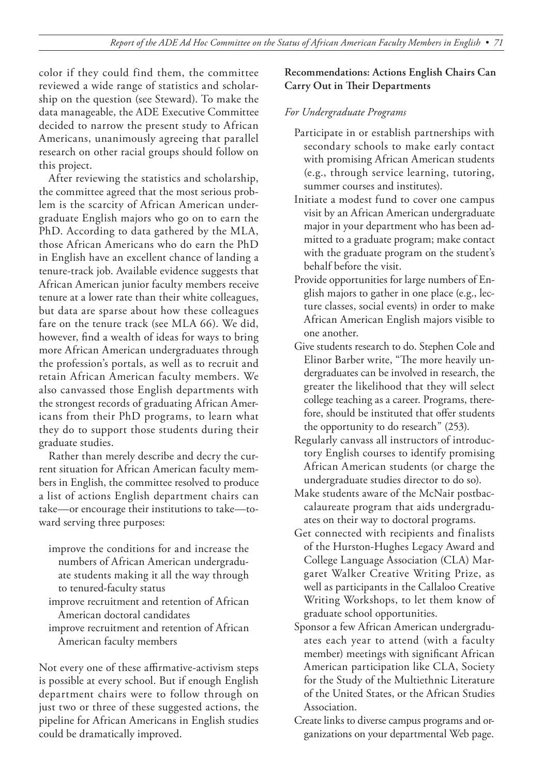color if they could find them, the committee reviewed a wide range of statistics and scholarship on the question (see Steward). To make the data manageable, the ADE Executive Committee decided to narrow the present study to African Americans, unanimously agreeing that parallel research on other racial groups should follow on this project.

After reviewing the statistics and scholarship, the committee agreed that the most serious problem is the scarcity of African American undergraduate English majors who go on to earn the PhD. According to data gathered by the MLA, those African Americans who do earn the PhD in English have an excellent chance of landing a tenure-track job. Available evidence suggests that African American junior faculty members receive tenure at a lower rate than their white colleagues, but data are sparse about how these colleagues fare on the tenure track (see MLA 66). We did, however, find a wealth of ideas for ways to bring more African American undergraduates through the profession's portals, as well as to recruit and retain African American faculty members. We also canvassed those English departments with the strongest records of graduating African Americans from their PhD programs, to learn what they do to support those students during their graduate studies.

Rather than merely describe and decry the current situation for African American faculty members in English, the committee resolved to produce a list of actions English department chairs can take—or encourage their institutions to take—toward serving three purposes:

- improve the conditions for and increase the numbers of African American undergraduate students making it all the way through to tenured-faculty status
- improve recruitment and retention of African American doctoral candidates
- improve recruitment and retention of African American faculty members

Not every one of these affirmative-activism steps is possible at every school. But if enough English department chairs were to follow through on just two or three of these suggested actions, the pipeline for African Americans in English studies could be dramatically improved.

#### **Recommendations: Actions English Chairs Can Carry Out in Their Departments**

#### *For Undergraduate Programs*

- Participate in or establish partnerships with secondary schools to make early contact with promising African American students (e.g., through service learning, tutoring, summer courses and institutes).
- Initiate a modest fund to cover one campus visit by an African American undergraduate major in your department who has been admitted to a graduate program; make contact with the graduate program on the student's behalf before the visit.
- Provide opportunities for large numbers of English majors to gather in one place (e.g., lecture classes, social events) in order to make African American English majors visible to one another.
- Give students research to do. Stephen Cole and Elinor Barber write, "The more heavily undergraduates can be involved in research, the greater the likelihood that they will select college teaching as a career. Programs, therefore, should be instituted that offer students the opportunity to do research" (253).
- Regularly canvass all instructors of introductory English courses to identify promising African American students (or charge the undergraduate studies director to do so).
- Make students aware of the McNair postbaccalaureate program that aids undergraduates on their way to doctoral programs.
- Get connected with recipients and finalists of the Hurston-Hughes Legacy Award and College Language Association (CLA) Margaret Walker Creative Writing Prize, as well as participants in the Callaloo Creative Writing Workshops, to let them know of graduate school opportunities.
- Sponsor a few African American undergraduates each year to attend (with a faculty member) meetings with significant African American participation like CLA, Society for the Study of the Multiethnic Literature of the United States, or the African Studies Association.
- Create links to diverse campus programs and organizations on your departmental Web page.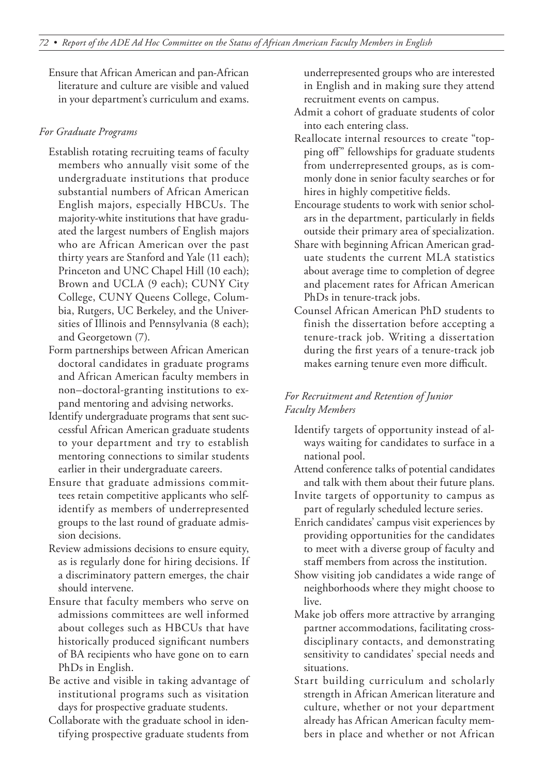Ensure that African American and pan-African literature and culture are visible and valued in your department's curriculum and exams.

#### *For Graduate Programs*

- Establish rotating recruiting teams of faculty members who annually visit some of the undergraduate institutions that produce substantial numbers of African American English majors, especially HBCUs. The majority-white institutions that have graduated the largest numbers of English majors who are African American over the past thirty years are Stanford and Yale (11 each); Princeton and UNC Chapel Hill (10 each); Brown and UCLA (9 each); CUNY City College, CUNY Queens College, Columbia, Rutgers, UC Berkeley, and the Universities of Illinois and Pennsylvania (8 each); and Georgetown (7).
- Form partnerships between African American doctoral candidates in graduate programs and African American faculty members in non–doctoral-granting institutions to expand mentoring and advising networks.
- Identify undergraduate programs that sent successful African American graduate students to your department and try to establish mentoring connections to similar students earlier in their undergraduate careers.
- Ensure that graduate admissions committees retain competitive applicants who selfidentify as members of underrepresented groups to the last round of graduate admission decisions.
- Review admissions decisions to ensure equity, as is regularly done for hiring decisions. If a discriminatory pattern emerges, the chair should intervene.
- Ensure that faculty members who serve on admissions committees are well informed about colleges such as HBCUs that have historically produced significant numbers of BA recipients who have gone on to earn PhDs in English.
- Be active and visible in taking advantage of institutional programs such as visitation days for prospective graduate students.
- Collaborate with the graduate school in identifying prospective graduate students from

underrepresented groups who are interested in English and in making sure they attend recruitment events on campus.

- Admit a cohort of graduate students of color into each entering class.
- Reallocate internal resources to create "topping off" fellowships for graduate students from underrepresented groups, as is commonly done in senior faculty searches or for hires in highly competitive fields.
- Encourage students to work with senior scholars in the department, particularly in fields outside their primary area of specialization.
- Share with beginning African American graduate students the current MLA statistics about average time to completion of degree and placement rates for African American PhDs in tenure-track jobs.
- Counsel African American PhD students to finish the dissertation before accepting a tenure-track job. Writing a dissertation during the first years of a tenure-track job makes earning tenure even more difficult.

## *For Recruitment and Retention of Junior Faculty Members*

- Identify targets of opportunity instead of always waiting for candidates to surface in a national pool.
- Attend conference talks of potential candidates and talk with them about their future plans.
- Invite targets of opportunity to campus as part of regularly scheduled lecture series.
- Enrich candidates' campus visit experiences by providing opportunities for the candidates to meet with a diverse group of faculty and staff members from across the institution.
- Show visiting job candidates a wide range of neighborhoods where they might choose to live.
- Make job offers more attractive by arranging partner accommodations, facilitating crossdisciplinary contacts, and demonstrating sensitivity to candidates' special needs and situations.
- Start building curriculum and scholarly strength in African American literature and culture, whether or not your department already has African American faculty members in place and whether or not African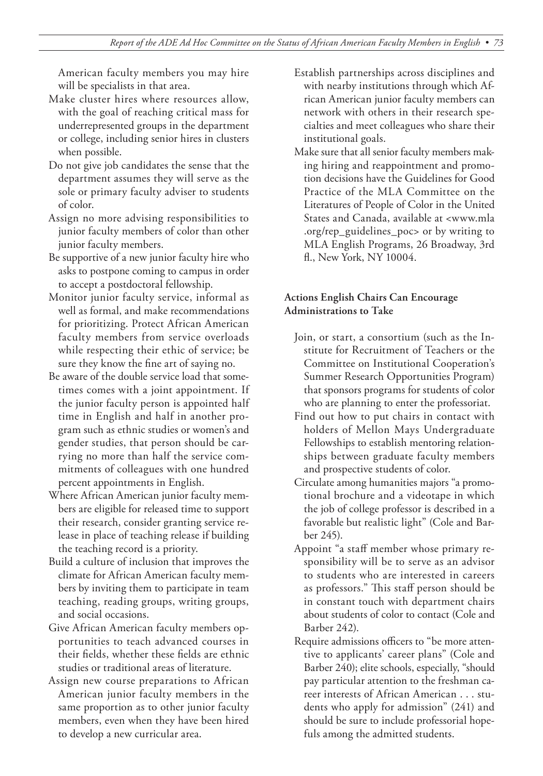American faculty members you may hire will be specialists in that area.

- Make cluster hires where resources allow, with the goal of reaching critical mass for underrepresented groups in the department or college, including senior hires in clusters when possible.
- Do not give job candidates the sense that the department assumes they will serve as the sole or primary faculty adviser to students of color.
- Assign no more advising responsibilities to junior faculty members of color than other junior faculty members.
- Be supportive of a new junior faculty hire who asks to postpone coming to campus in order to accept a postdoctoral fellowship.
- Monitor junior faculty service, informal as well as formal, and make recommendations for prioritizing. Protect African American faculty members from service overloads while respecting their ethic of service; be sure they know the fine art of saying no.
- Be aware of the double service load that sometimes comes with a joint appointment. If the junior faculty person is appointed half time in English and half in another program such as ethnic studies or women's and gender studies, that person should be carrying no more than half the service commitments of colleagues with one hundred percent appointments in English.
- Where African American junior faculty members are eligible for released time to support their research, consider granting service release in place of teaching release if building the teaching record is a priority.
- Build a culture of inclusion that improves the climate for African American faculty members by inviting them to participate in team teaching, reading groups, writing groups, and social occasions.
- Give African American faculty members opportunities to teach advanced courses in their fields, whether these fields are ethnic studies or traditional areas of literature.
- Assign new course preparations to African American junior faculty members in the same proportion as to other junior faculty members, even when they have been hired to develop a new curricular area.
- Establish partnerships across disciplines and with nearby institutions through which African American junior faculty members can network with others in their research specialties and meet colleagues who share their institutional goals.
- Make sure that all senior faculty members making hiring and reappointment and promotion decisions have the Guidelines for Good Practice of the MLA Committee on the Literatures of People of Color in the United States and Canada, available at <www.mla .org/rep\_guidelines\_poc> or by writing to MLA English Programs, 26 Broadway, 3rd fl., New York, NY 10004.

#### **Actions English Chairs Can Encourage Administrations to Take**

- Join, or start, a consortium (such as the Institute for Recruitment of Teachers or the Committee on Institutional Cooperation's Summer Research Opportunities Program) that sponsors programs for students of color who are planning to enter the professoriat.
- Find out how to put chairs in contact with holders of Mellon Mays Undergraduate Fellowships to establish mentoring relationships between graduate faculty members and prospective students of color.
- Circulate among humanities majors "a promotional brochure and a videotape in which the job of college professor is described in a favorable but realistic light" (Cole and Barber 245).
- Appoint "a staff member whose primary responsibility will be to serve as an advisor to students who are interested in careers as professors." This staff person should be in constant touch with department chairs about students of color to contact (Cole and Barber 242).
- Require admissions officers to "be more attentive to applicants' career plans" (Cole and Barber 240); elite schools, especially, "should pay particular attention to the freshman career interests of African American . . . students who apply for admission" (241) and should be sure to include professorial hopefuls among the admitted students.